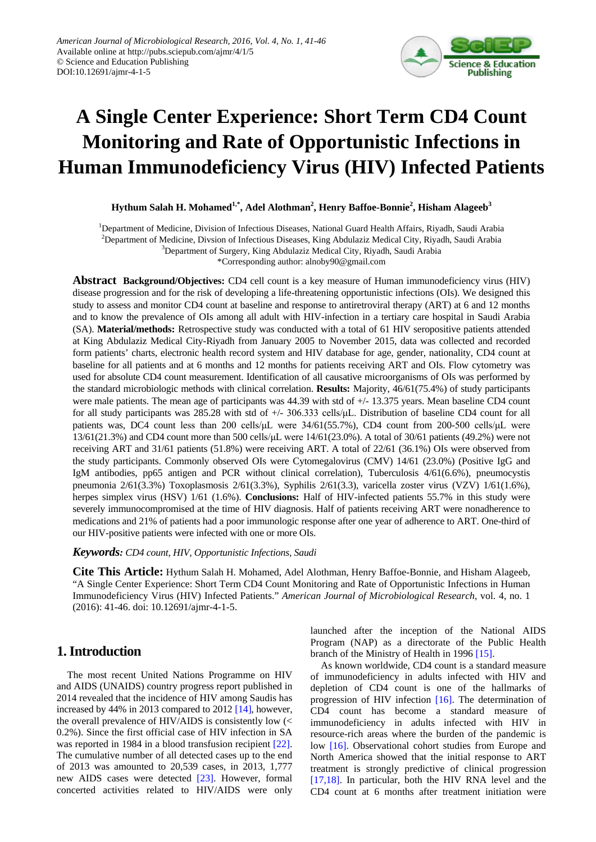

# **A Single Center Experience: Short Term CD4 Count Monitoring and Rate of Opportunistic Infections in Human Immunodeficiency Virus (HIV) Infected Patients**

**Hythum Salah H. Mohamed1,\*, Adel Alothman<sup>2</sup> , Henry Baffoe-Bonnie2 , Hisham Alageeb<sup>3</sup>**

<sup>1</sup>Department of Medicine, Division of Infectious Diseases, National Guard Health Affairs, Riyadh, Saudi Arabia <sup>2</sup>Department of Medicine, Divsion of Infectious Diseases, King Abdulaziz Medical City, Riyadh, Saudi Arabia

<sup>3</sup>Department of Surgery, King Abdulaziz Medical City, Riyadh, Saudi Arabia

\*Corresponding author: alnoby90@gmail.com

**Abstract Background/Objectives:** CD4 cell count is a key measure of Human immunodeficiency virus (HIV) disease progression and for the risk of developing a life-threatening opportunistic infections (OIs). We designed this study to assess and monitor CD4 count at baseline and response to antiretroviral therapy (ART) at 6 and 12 months and to know the prevalence of OIs among all adult with HIV-infection in a tertiary care hospital in Saudi Arabia (SA). **Material/methods:** Retrospective study was conducted with a total of 61 HIV seropositive patients attended at King Abdulaziz Medical City-Riyadh from January 2005 to November 2015, data was collected and recorded form patients' charts, electronic health record system and HIV database for age, gender, nationality, CD4 count at baseline for all patients and at 6 months and 12 months for patients receiving ART and OIs. Flow cytometry was used for absolute CD4 count measurement. Identification of all causative microorganisms of OIs was performed by the standard microbiologic methods with clinical correlation. **Results:** Majority, 46/61(75.4%) of study participants were male patients. The mean age of participants was 44.39 with std of +/- 13.375 years. Mean baseline CD4 count for all study participants was 285.28 with std of  $+/-$  306.333 cells/uL. Distribution of baseline CD4 count for all patients was, DC4 count less than 200 cells/μL were 34/61(55.7%), CD4 count from 200-500 cells/μL were 13/61(21.3%) and CD4 count more than 500 cells/μL were 14/61(23.0%). A total of 30/61 patients (49.2%) were not receiving ART and 31/61 patients (51.8%) were receiving ART. A total of 22/61 (36.1%) OIs were observed from the study participants. Commonly observed OIs were Cytomegalovirus (CMV) 14/61 (23.0%) (Positive IgG and IgM antibodies, pp65 antigen and PCR without clinical correlation), Tuberculosis 4/61(6.6%), pneumocystis pneumonia 2/61(3.3%) Toxoplasmosis 2/61(3.3%), Syphilis 2/61(3.3), varicella zoster virus (VZV) 1/61(1.6%), herpes simplex virus (HSV) 1/61 (1.6%). **Conclusions:** Half of HIV-infected patients 55.7% in this study were severely immunocompromised at the time of HIV diagnosis. Half of patients receiving ART were nonadherence to medications and 21% of patients had a poor immunologic response after one year of adherence to ART. One-third of our HIV-positive patients were infected with one or more OIs.

*Keywords: CD4 count, HIV, Opportunistic Infections, Saudi*

**Cite This Article:** Hythum Salah H. Mohamed, Adel Alothman, Henry Baffoe-Bonnie, and Hisham Alageeb, "A Single Center Experience: Short Term CD4 Count Monitoring and Rate of Opportunistic Infections in Human Immunodeficiency Virus (HIV) Infected Patients." *American Journal of Microbiological Research*, vol. 4, no. 1 (2016): 41-46. doi: 10.12691/ajmr-4-1-5.

# **1. Introduction**

The most recent United Nations Programme on HIV and AIDS (UNAIDS) country progress report published in 2014 revealed that the incidence of HIV among Saudis has increased by 44% in 2013 compared to 2012 [\[14\],](#page-5-0) however, the overall prevalence of HIV/AIDS is consistently low (< 0.2%). Since the first official case of HIV infection in SA was reported in 1984 in a blood transfusion recipient [\[22\].](#page-5-1) The cumulative number of all detected cases up to the end of 2013 was amounted to 20,539 cases, in 2013, 1,777 new AIDS cases were detected [\[23\].](#page-5-2) However, formal concerted activities related to HIV/AIDS were only launched after the inception of the National AIDS Program (NAP) as a directorate of the Public Health branch of the Ministry of Health in 1996 [\[15\].](#page-5-3)

As known worldwide, CD4 count is a standard measure of immunodeficiency in adults infected with HIV and depletion of CD4 count is one of the hallmarks of progression of HIV infection [\[16\].](#page-5-4) The determination of CD4 count has become a standard measure of immunodeficiency in adults infected with HIV in resource-rich areas where the burden of the pandemic is low [\[16\].](#page-5-4) Observational cohort studies from Europe and North America showed that the initial response to ART treatment is strongly predictive of clinical progression [\[17,18\].](#page-5-5) In particular, both the HIV RNA level and the CD4 count at 6 months after treatment initiation were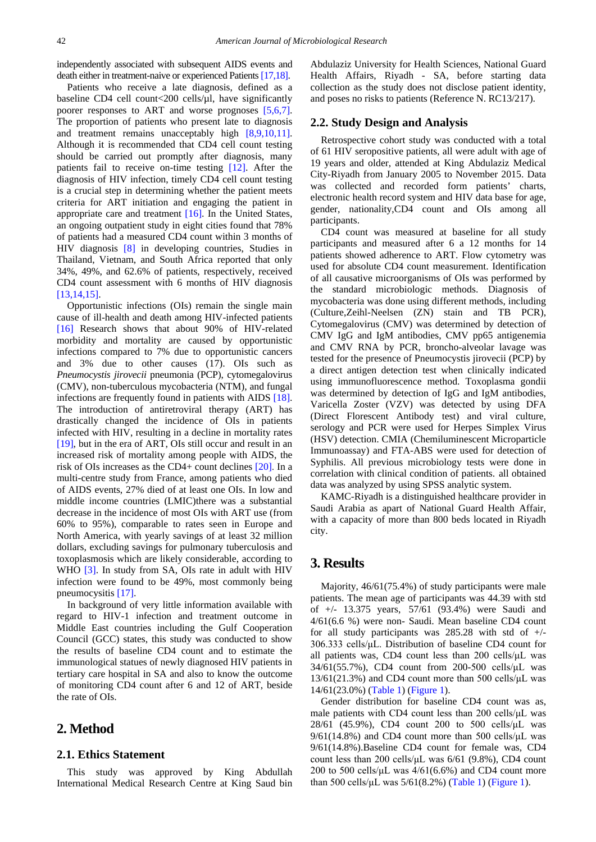independently associated with subsequent AIDS events and death either in treatment-naive or experienced Patients [17,18].

Patients who receive a late diagnosis, defined as a baseline CD4 cell count<200 cells/µl, have significantly poorer responses to ART and worse prognoses [\[5,6,7\].](#page-5-6) The proportion of patients who present late to diagnosis and treatment remains unacceptably high [\[8,9,10,11\].](#page-5-7) Although it is recommended that CD4 cell count testing should be carried out promptly after diagnosis, many patients fail to receive on-time testing [\[12\].](#page-5-8) After the diagnosis of HIV infection, timely CD4 cell count testing is a crucial step in determining whether the patient meets criteria for ART initiation and engaging the patient in appropriate care and treatment [\[16\].](#page-5-4) In the United States, an ongoing outpatient study in eight cities found that 78% of patients had a measured CD4 count within 3 months of HIV diagnosis [\[8\]](#page-5-7) in developing countries, Studies in Thailand, Vietnam, and South Africa reported that only 34%, 49%, and 62.6% of patients, respectively, received CD4 count assessment with 6 months of HIV diagnosis [\[13,14,15\].](#page-5-9)

Opportunistic infections (OIs) remain the single main cause of ill-health and death among HIV-infected patients [\[16\]](#page-5-4) Research shows that about 90% of HIV-related morbidity and mortality are caused by opportunistic infections compared to 7% due to opportunistic cancers and 3% due to other causes (17). OIs such as *Pneumocystis jirovecii* pneumonia (PCP), cytomegalovirus (CMV), non-tuberculous mycobacteria (NTM), and fungal infections are frequently found in patients with AIDS [\[18\].](#page-5-10) The introduction of antiretroviral therapy (ART) has drastically changed the incidence of OIs in patients infected with HIV, resulting in a decline in mortality rates [\[19\],](#page-5-11) but in the era of ART, OIs still occur and result in an increased risk of mortality among people with AIDS, the risk of OIs increases as the CD4+ count declines [\[20\].](#page-5-12) In a multi-centre study from France, among patients who died of AIDS events, 27% died of at least one OIs. In low and middle income countries (LMIC)there was a substantial decrease in the incidence of most OIs with ART use (from 60% to 95%), comparable to rates seen in Europe and North America, with yearly savings of at least 32 million dollars, excluding savings for pulmonary tuberculosis and toxoplasmosis which are likely considerable, according to WHO [\[3\].](#page-5-13) In study from SA, OIs rate in adult with HIV infection were found to be 49%, most commonly being pneumocysitis [\[17\].](#page-5-5)

In background of very little information available with regard to HIV-1 infection and treatment outcome in Middle East countries including the Gulf Cooperation Council (GCC) states, this study was conducted to show the results of baseline CD4 count and to estimate the immunological statues of newly diagnosed HIV patients in tertiary care hospital in SA and also to know the outcome of monitoring CD4 count after 6 and 12 of ART, beside the rate of OIs.

## **2. Method**

#### **2.1. Ethics Statement**

This study was approved by King Abdullah International Medical Research Centre at King Saud bin Abdulaziz University for Health Sciences, National Guard Health Affairs, Riyadh - SA, before starting data collection as the study does not disclose patient identity, and poses no risks to patients (Reference N. RC13/217).

#### **2.2. Study Design and Analysis**

Retrospective cohort study was conducted with a total of 61 HIV seropositive patients, all were adult with age of 19 years and older, attended at King Abdulaziz Medical City-Riyadh from January 2005 to November 2015. Data was collected and recorded form patients' charts, electronic health record system and HIV data base for age, gender, nationality,CD4 count and OIs among all participants.

CD4 count was measured at baseline for all study participants and measured after 6 a 12 months for 14 patients showed adherence to ART. Flow cytometry was used for absolute CD4 count measurement. Identification of all causative microorganisms of OIs was performed by the standard microbiologic methods. Diagnosis of mycobacteria was done using different methods, including (Culture,Zeihl-Neelsen (ZN) stain and TB PCR), Cytomegalovirus (CMV) was determined by detection of CMV IgG and IgM antibodies, CMV pp65 antigenemia and CMV RNA by PCR, broncho-alveolar lavage was tested for the presence of Pneumocystis jirovecii (PCP) by a direct antigen detection test when clinically indicated using immunofluorescence method. Toxoplasma gondii was determined by detection of IgG and IgM antibodies, Varicella Zoster (VZV) was detected by using DFA (Direct Florescent Antibody test) and viral culture, serology and PCR were used for Herpes Simplex Virus (HSV) detection. CMIA (Chemiluminescent Microparticle Immunoassay) and FTA-ABS were used for detection of Syphilis. All previous microbiology tests were done in correlation with clinical condition of patients. all obtained data was analyzed by using SPSS analytic system.

KAMC-Riyadh is a distinguished healthcare provider in Saudi Arabia as apart of National Guard Health Affair, with a capacity of more than 800 beds located in Riyadh city.

### **3. Results**

Majority, 46/61(75.4%) of study participants were male patients. The mean age of participants was 44.39 with std of +/- 13.375 years, 57/61 (93.4%) were Saudi and 4/61(6.6 %) were non- Saudi. Mean baseline CD4 count for all study participants was  $285.28$  with std of  $+/-$ 306.333 cells/μL. Distribution of baseline CD4 count for all patients was, CD4 count less than 200 cells/μL was 34/61(55.7%), CD4 count from 200-500 cells/μL was  $13/61(21.3%)$  and CD4 count more than 500 cells/ $\mu$ L was 14/61(23.0%) [\(Table 1\)](#page-2-0) [\(Figure 1\)](#page-2-1).

Gender distribution for baseline CD4 count was as, male patients with CD4 count less than 200 cells/μL was 28/61 (45.9%), CD4 count 200 to 500 cells/μL was  $9/61(14.8%)$  and CD4 count more than 500 cells/ $\mu$ L was 9/61(14.8%).Baseline CD4 count for female was, CD4 count less than 200 cells/μL was 6/61 (9.8%), CD4 count 200 to 500 cells/ $\mu$ L was 4/61(6.6%) and CD4 count more than 500 cells/ $\mu$ L was 5/61(8.2%) [\(Table 1\)](#page-2-0) [\(Figure 1\)](#page-2-1).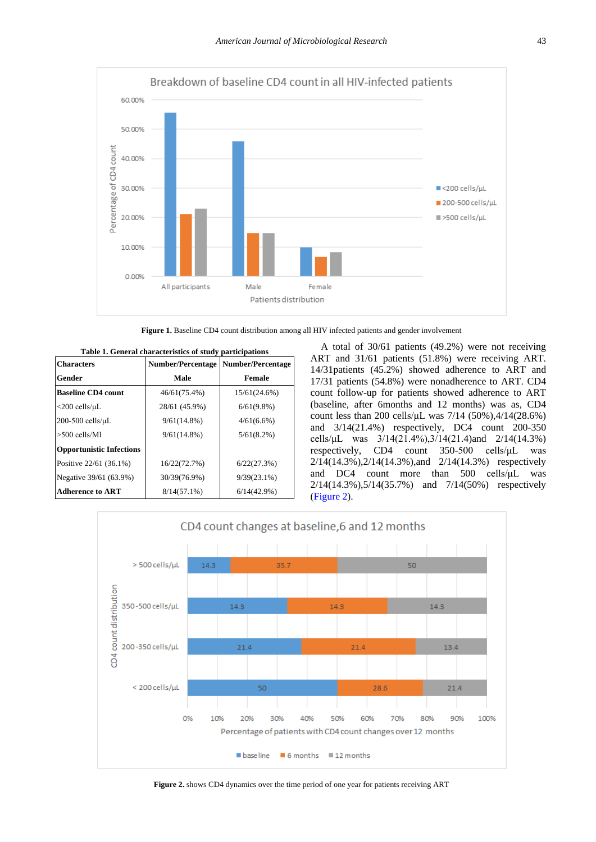<span id="page-2-1"></span>

Figure 1. Baseline CD4 count distribution among all HIV infected patients and gender involvement

<span id="page-2-0"></span>

| Table 1. General characteristics of study participations |                          |                          |
|----------------------------------------------------------|--------------------------|--------------------------|
| <b>Characters</b>                                        | <b>Number/Percentage</b> | <b>Number/Percentage</b> |
| Gender                                                   | Male                     | <b>Female</b>            |
| <b>Baseline CD4 count</b>                                | 46/61(75.4%)             | 15/61(24.6%)             |
| $<$ 200 cells/ $\mu$ L                                   | 28/61 (45.9%)            | $6/61(9.8\%)$            |
| $200-500$ cells/ $\mu$ L                                 | $9/61(14.8\%)$           | $4/61(6.6\%)$            |
| $>500$ cells/Ml                                          | $9/61(14.8\%)$           | 5/61(8.2%)               |
| <b>Opportunistic Infections</b>                          |                          |                          |
| Positive 22/61 (36.1%)                                   | 16/22(72.7%)             | 6/22(27.3%)              |
| Negative 39/61 (63.9%)                                   | 30/39(76.9%)             | $9/39(23.1\%)$           |
| <b>Adherence to ART</b>                                  | $8/14(57.1\%)$           | $6/14(42.9\%)$           |

**Table 1. General characteristics of study participations** 

A total of 30/61 patients (49.2%) were not receiving ART and 31/61 patients (51.8%) were receiving ART. 14/31patients (45.2%) showed adherence to ART and 17/31 patients (54.8%) were nonadherence to ART. CD4 count follow-up for patients showed adherence to ART (baseline, after 6months and 12 months) was as, CD4 count less than 200 cells/μL was 7/14 (50%),4/14(28.6%) and 3/14(21.4%) respectively, DC4 count 200-350 cells/ $\mu$ L was  $3/14(21.4\%)$ ,  $3/14(21.4)$  and  $2/14(14.3\%)$ respectively, CD4 count 350-500 cells/μL was 2/14(14.3%),2/14(14.3%),and 2/14(14.3%) respectively and DC4 count more than 500 cells/μL was 2/14(14.3%),5/14(35.7%) and 7/14(50%) respectively [\(Figure 2\)](#page-2-2).

<span id="page-2-2"></span>

**Figure 2.** shows CD4 dynamics over the time period of one year for patients receiving ART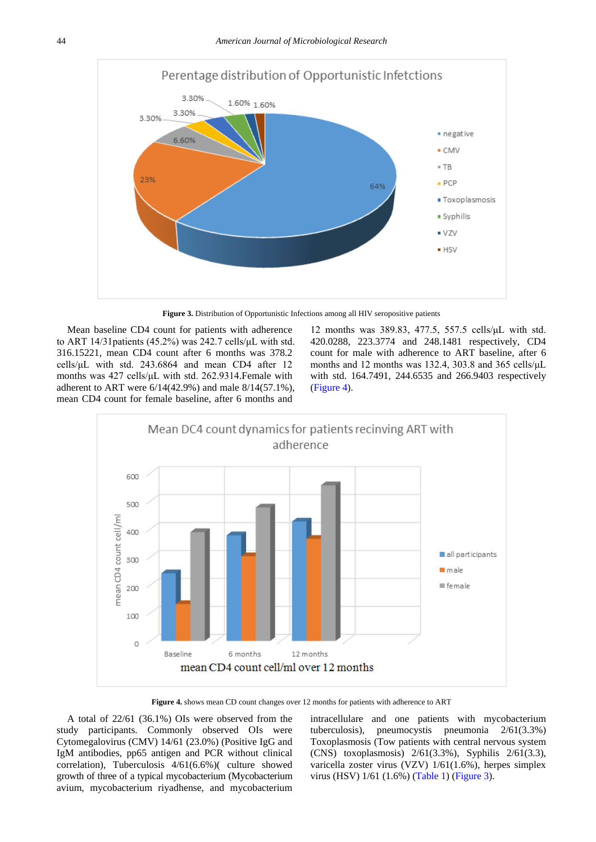<span id="page-3-1"></span>

**Figure 3.** Distribution of Opportunistic Infections among all HIV seropositive patients

Mean baseline CD4 count for patients with adherence to ART 14/31patients (45.2%) was 242.7 cells/μL with std. 316.15221, mean CD4 count after 6 months was 378.2 cells/μL with std. 243.6864 and mean CD4 after 12 months was 427 cells/μL with std. 262.9314.Female with adherent to ART were 6/14(42.9%) and male 8/14(57.1%), mean CD4 count for female baseline, after 6 months and

12 months was 389.83, 477.5, 557.5 cells/μL with std. 420.0288, 223.3774 and 248.1481 respectively, CD4 count for male with adherence to ART baseline, after 6 months and 12 months was 132.4, 303.8 and 365 cells/μL with std. 164.7491, 244.6535 and 266.9403 respectively [\(Figure 4\)](#page-3-0).

<span id="page-3-0"></span>

**Figure 4.** shows mean CD count changes over 12 months for patients with adherence to ART

A total of 22/61 (36.1%) OIs were observed from the study participants. Commonly observed OIs were Cytomegalovirus (CMV) 14/61 (23.0%) (Positive IgG and IgM antibodies, pp65 antigen and PCR without clinical correlation), Tuberculosis 4/61(6.6%)( culture showed growth of three of a typical mycobacterium (Mycobacterium avium, mycobacterium riyadhense, and mycobacterium intracellulare and one patients with mycobacterium tuberculosis), pneumocystis pneumonia 2/61(3.3%) Toxoplasmosis (Tow patients with central nervous system (CNS) toxoplasmosis) 2/61(3.3%), Syphilis 2/61(3.3), varicella zoster virus (VZV) 1/61(1.6%), herpes simplex virus (HSV) 1/61 (1.6%) [\(Table 1\)](#page-2-0) [\(Figure 3\)](#page-3-1).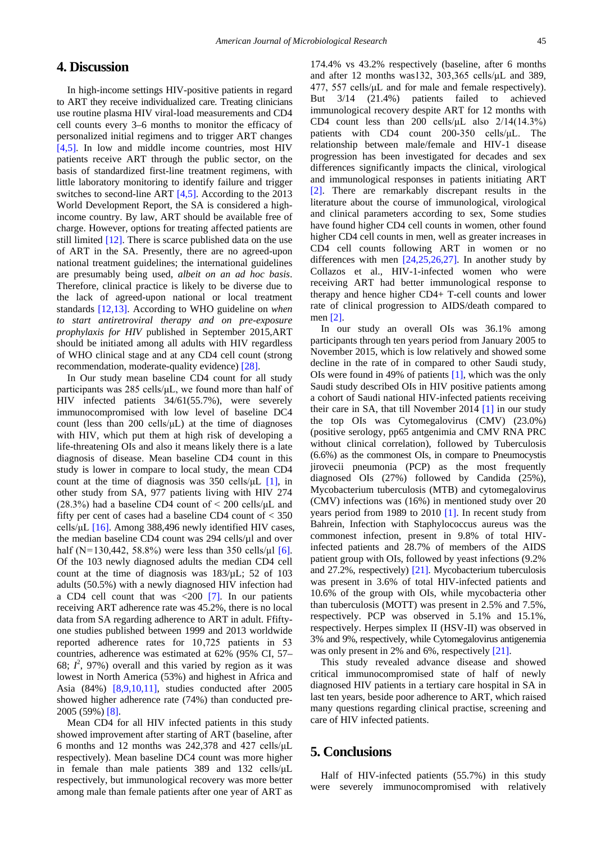#### **4. Discussion**

In high-income settings HIV-positive patients in regard to ART they receive individualized care. Treating clinicians use routine plasma HIV viral-load measurements and CD4 cell counts every 3–6 months to monitor the efficacy of personalized initial regimens and to trigger ART changes [\[4,5\].](#page-5-14) In low and middle income countries, most HIV patients receive ART through the public sector, on the basis of standardized first-line treatment regimens, with little laboratory monitoring to identify failure and trigger switches to second-line ART [\[4,5\].](#page-5-14) According to the 2013 World Development Report, the SA is considered a highincome country. By law, ART should be available free of charge. However, options for treating affected patients are still limited  $[12]$ . There is scarce published data on the use of ART in the SA. Presently, there are no agreed-upon national treatment guidelines; the international guidelines are presumably being used*, albeit on an ad hoc basis*. Therefore, clinical practice is likely to be diverse due to the lack of agreed-upon national or local treatment standards [\[12,13\].](#page-5-8) According to WHO guideline on *when to start antiretroviral therapy and on pre-exposure prophylaxis for HIV* published in September 2015,ART should be initiated among all adults with HIV regardless of WHO clinical stage and at any CD4 cell count (strong recommendation, moderate-quality evidence) [\[28\].](#page-5-15)

In Our study mean baseline CD4 count for all study participants was 285 cells/μL, we found more than half of HIV infected patients 34/61(55.7%), were severely immunocompromised with low level of baseline DC4 count (less than 200 cells/ $\mu$ L) at the time of diagnoses with HIV, which put them at high risk of developing a life-threatening OIs and also it means likely there is a late diagnosis of disease. Mean baseline CD4 count in this study is lower in compare to local study, the mean CD4 count at the time of diagnosis was  $350$  cells/ $\mu$ L [\[1\],](#page-5-16) in other study from SA, 977 patients living with HIV 274  $(28.3\%)$  had a baseline CD4 count of  $\leq 200$  cells/ $\mu$ L and fifty per cent of cases had a baseline CD4 count of  $<$  350 cells/ $\mu$ L [\[16\].](#page-5-4) Among 388,496 newly identified HIV cases, the median baseline CD4 count was 294 cells/µl and over half (N= $130,442, 58.8\%$ ) were less than 350 cells/ $\mu$  [\[6\].](#page-5-17) Of the 103 newly diagnosed adults the median CD4 cell count at the time of diagnosis was  $183/\mu$ L; 52 of 103 adults (50.5%) with a newly diagnosed HIV infection had a CD4 cell count that was  $\langle 200 \, | 7]$ . In our patients receiving ART adherence rate was 45.2%, there is no local data from SA regarding adherence to ART in adult. Ffiftyone studies published between 1999 and 2013 worldwide reported adherence rates for 10 ,725 patients in 53 countries, adherence was estimated at 62% (95% CI, 57– 68;  $l^2$ , 97%) overall and this varied by region as it was lowest in North America (53%) and highest in Africa and Asia (84%) [\[8,9,10,11\],](#page-5-7) studies conducted after 2005 showed higher adherence rate (74%) than conducted pre-2005 (59%) [\[8\].](#page-5-7)

Mean CD4 for all HIV infected patients in this study showed improvement after starting of ART (baseline, after 6 months and 12 months was 242,378 and 427 cells/μL respectively). Mean baseline DC4 count was more higher in female than male patients 389 and 132 cells/μL respectively, but immunological recovery was more better among male than female patients after one year of ART as

174.4% vs 43.2% respectively (baseline, after 6 months and after 12 months was132, 303,365 cells/μL and 389, 477, 557 cells/μL and for male and female respectively). But 3/14 (21.4%) patients failed to achieved immunological recovery despite ART for 12 months with CD4 count less than 200 cells/ $\mu$ L also 2/14(14.3%) patients with CD4 count 200-350 cells/μL. The relationship between male/female and HIV-1 disease progression has been investigated for decades and sex differences significantly impacts the clinical, virological and immunological responses in patients initiating ART [\[2\].](#page-5-19) There are remarkably discrepant results in the literature about the course of immunological, virological and clinical parameters according to sex, Some studies have found higher CD4 cell counts in women, other found higher CD4 cell counts in men, well as greater increases in CD4 cell counts following ART in women or no differences with men [\[24,25,26,27\].](#page-5-20) In another study by Collazos et al., HIV-1-infected women who were receiving ART had better immunological response to therapy and hence higher CD4+ T-cell counts and lower rate of clinical progression to AIDS/death compared to men [\[2\].](#page-5-19)

In our study an overall OIs was 36.1% among participants through ten years period from January 2005 to November 2015, which is low relatively and showed some decline in the rate of in compared to other Saudi study, OIs were found in 49% of patients [\[1\],](#page-5-16) which was the only Saudi study described OIs in HIV positive patients among a cohort of Saudi national HIV-infected patients receiving their care in SA, that till November 2014 [\[1\]](#page-5-16) in our study the top OIs was Cytomegalovirus (CMV) (23.0%) (positive serology, pp65 antgenimia and CMV RNA PRC without clinical correlation), followed by Tuberculosis (6.6%) as the commonest OIs, in compare to Pneumocystis jirovecii pneumonia (PCP) as the most frequently diagnosed OIs (27%) followed by Candida (25%), Mycobacterium tuberculosis (MTB) and cytomegalovirus (CMV) infections was (16%) in mentioned study over 20 years period from 1989 to 2010 [\[1\].](#page-5-16) In recent study from Bahrein, Infection with Staphylococcus aureus was the commonest infection, present in 9.8% of total HIVinfected patients and 28.7% of members of the AIDS patient group with OIs, followed by yeast infections (9.2% and 27.2%, respectively) [\[21\].](#page-5-21) Mycobacterium tuberculosis was present in 3.6% of total HIV-infected patients and 10.6% of the group with OIs, while mycobacteria other than tuberculosis (MOTT) was present in 2.5% and 7.5%, respectively. PCP was observed in 5.1% and 15.1%, respectively. Herpes simplex II (HSV-II) was observed in 3% and 9%, respectively, while Cytomegalovirus antigenemia was only present in 2% and 6%, respectively [\[21\].](#page-5-21)

This study revealed advance disease and showed critical immunocompromised state of half of newly diagnosed HIV patients in a tertiary care hospital in SA in last ten years, beside poor adherence to ART, which raised many questions regarding clinical practise, screening and care of HIV infected patients.

### **5. Conclusions**

Half of HIV-infected patients (55.7%) in this study were severely immunocompromised with relatively